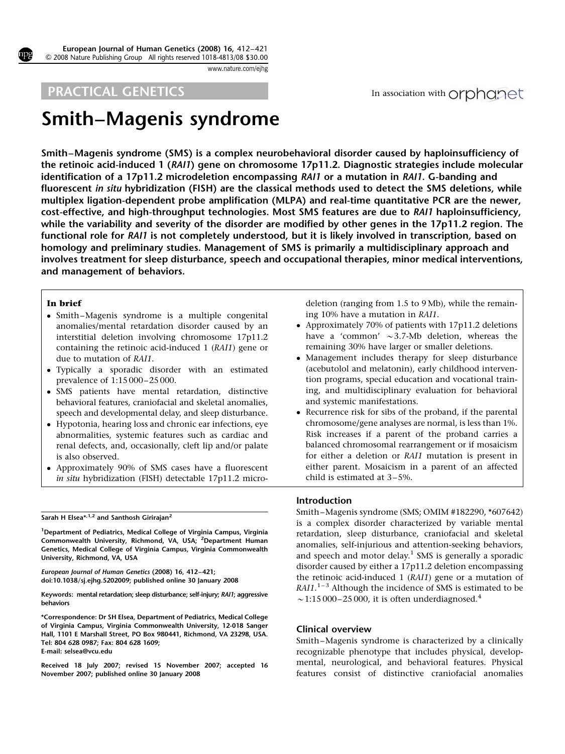

[www.nature.com/ejhg](http://www.nature.com/ejhg)

# PRACTICAL GENETICS **In association with Orphonet**

# Smith–Magenis syndrome

Smith–Magenis syndrome (SMS) is a complex neurobehavioral disorder caused by haploinsufficiency of the retinoic acid-induced 1 (RAI1) gene on chromosome 17p11.2. Diagnostic strategies include molecular identification of a 17p11.2 microdeletion encompassing RAI1 or a mutation in RAI1. G-banding and fluorescent in situ hybridization (FISH) are the classical methods used to detect the SMS deletions, while multiplex ligation-dependent probe amplification (MLPA) and real-time quantitative PCR are the newer, cost-effective, and high-throughput technologies. Most SMS features are due to RAI1 haploinsufficiency, while the variability and severity of the disorder are modified by other genes in the 17p11.2 region. The functional role for RAI1 is not completely understood, but it is likely involved in transcription, based on homology and preliminary studies. Management of SMS is primarily a multidisciplinary approach and involves treatment for sleep disturbance, speech and occupational therapies, minor medical interventions, and management of behaviors.

# In brief

- Smith–Magenis syndrome is a multiple congenital anomalies/mental retardation disorder caused by an interstitial deletion involving chromosome 17p11.2 containing the retinoic acid-induced 1 (RAI1) gene or due to mutation of RAI1.
- Typically a sporadic disorder with an estimated prevalence of 1:15 000–25 000.
- SMS patients have mental retardation, distinctive behavioral features, craniofacial and skeletal anomalies, speech and developmental delay, and sleep disturbance.
- Hypotonia, hearing loss and chronic ear infections, eye abnormalities, systemic features such as cardiac and renal defects, and, occasionally, cleft lip and/or palate is also observed.
- Approximately 90% of SMS cases have a fluorescent in situ hybridization (FISH) detectable 17p11.2 micro-

Sarah H Elsea\*,  $1,2$  and Santhosh Girirajan<sup>2</sup>

<sup>1</sup>Department of Pediatrics, Medical College of Virginia Campus, Virginia Commonwealth University, Richmond, VA, USA; <sup>2</sup>Department Human Genetics, Medical College of Virginia Campus, Virginia Commonwealth University, Richmond, VA, USA

European Journal of Human Genetics (2008) 16, 412–421; doi:[10.1038/sj.ejhg.5202009](http://dx.doi.org/10.1038/sj.ejhg.5202009); published online 30 January 2008

Keywords: mental retardation; sleep disturbance; self-injury; RAI1; aggressive behaviors

\*Correspondence: Dr SH Elsea, Department of Pediatrics, Medical College of Virginia Campus, Virginia Commonwealth University, 12-018 Sanger Hall, 1101 E Marshall Street, PO Box 980441, Richmond, VA 23298, USA. Tel: 804 628 0987; Fax: 804 628 1609; E-mail: [selsea@vcu.edu](mailto:selsea@vcu.edu)

Received 18 July 2007; revised 15 November 2007; accepted 16 November 2007; published online 30 January 2008

deletion (ranging from 1.5 to 9 Mb), while the remaining 10% have a mutation in RAI1.

- Approximately 70% of patients with 17p11.2 deletions have a 'common'  $\sim$ 3.7-Mb deletion, whereas the remaining 30% have larger or smaller deletions.
- Management includes therapy for sleep disturbance (acebutolol and melatonin), early childhood intervention programs, special education and vocational training, and multidisciplinary evaluation for behavioral and systemic manifestations.
- Recurrence risk for sibs of the proband, if the parental chromosome/gene analyses are normal, is less than 1%. Risk increases if a parent of the proband carries a balanced chromosomal rearrangement or if mosaicism for either a deletion or RAI1 mutation is present in either parent. Mosaicism in a parent of an affected child is estimated at 3–5%.

# Introduction

Smith–Magenis syndrome (SMS; OMIM #182290, \*607642) is a complex disorder characterized by variable mental retardation, sleep disturbance, craniofacial and skeletal anomalies, self-injurious and attention-seeking behaviors, and speech and motor delay.<sup>1</sup> SMS is generally a sporadic disorder caused by either a 17p11.2 deletion encompassing the retinoic acid-induced 1 (RAI1) gene or a mutation of  $RAI1.^{1-3}$  Although the incidence of SMS is estimated to be  $\sim$ 1:15 000–25 000, it is often underdiagnosed.<sup>4</sup>

# Clinical overview

Smith–Magenis syndrome is characterized by a clinically recognizable phenotype that includes physical, developmental, neurological, and behavioral features. Physical features consist of distinctive craniofacial anomalies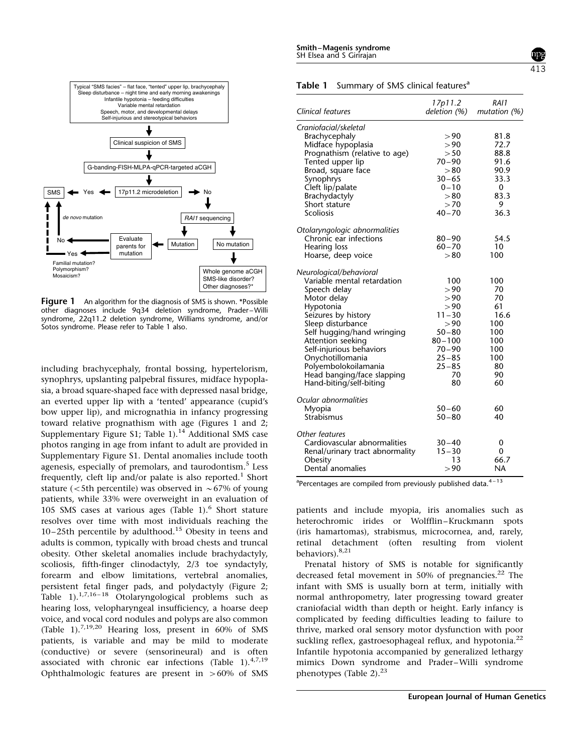<span id="page-1-0"></span>

**Figure 1** An algorithm for the diagnosis of SMS is shown. \*Possible other diagnoses include 9q34 deletion syndrome, Prader–Willi syndrome, 22q11.2 deletion syndrome, Williams syndrome, and/or Sotos syndrome. Please refer to Table 1 also.

including brachycephaly, frontal bossing, hypertelorism, synophrys, upslanting palpebral fissures, midface hypoplasia, a broad square-shaped face with depressed nasal bridge, an everted upper lip with a 'tented' appearance (cupid's bow upper lip), and micrognathia in infancy progressing toward relative prognathism with age (Figures 1 and 2; Supplementary Figure S1; Table  $1$ ).<sup>14</sup> Additional SMS case photos ranging in age from infant to adult are provided in Supplementary Figure S1. Dental anomalies include tooth agenesis, especially of premolars, and taurodontism.<sup>5</sup> Less frequently, cleft lip and/or palate is also reported.<sup>1</sup> Short stature ( $\lt$ 5th percentile) was observed in  $\approx$  67% of young patients, while 33% were overweight in an evaluation of 105 SMS cases at various ages (Table 1).<sup>6</sup> Short stature resolves over time with most individuals reaching the 10–25th percentile by adulthood.<sup>15</sup> Obesity in teens and adults is common, typically with broad chests and truncal obesity. Other skeletal anomalies include brachydactyly, scoliosis, fifth-finger clinodactyly, 2/3 toe syndactyly, forearm and elbow limitations, vertebral anomalies, persistent fetal finger pads, and polydactyly [\(Figure 2;](#page-2-0) Table  $1$ ).<sup>1,7,16-18</sup> Otolaryngological problems such as hearing loss, velopharyngeal insufficiency, a hoarse deep voice, and vocal cord nodules and polyps are also common (Table 1).7,19,20 Hearing loss, present in 60% of SMS patients, is variable and may be mild to moderate (conductive) or severe (sensorineural) and is often associated with chronic ear infections (Table 1). $4,7,19$ Ophthalmologic features are present in  $>60\%$  of SMS

|  | <b>Table 1</b> Summary of SMS clinical features <sup>a</sup> |  |  |  |
|--|--------------------------------------------------------------|--|--|--|
|--|--------------------------------------------------------------|--|--|--|

| Clinical features                                                                                                                                                                                                                                                                                                                  | 17p11.2<br>deletion (%)                                                                                                        | RAI1<br>mutation (%)                                                               |
|------------------------------------------------------------------------------------------------------------------------------------------------------------------------------------------------------------------------------------------------------------------------------------------------------------------------------------|--------------------------------------------------------------------------------------------------------------------------------|------------------------------------------------------------------------------------|
| Craniofacial/skeletal<br>Brachycephaly<br>Midface hypoplasia<br>Prognathism (relative to age)<br>Tented upper lip<br>Broad, square face<br>Synophrys<br>Cleft lip/palate<br>Brachydactyly<br>Short stature<br><b>Scoliosis</b>                                                                                                     | > 90<br>> 90<br>> 50<br>$70 - 90$<br>$>$ 80 $\,$<br>$30 - 65$<br>$0 - 10$<br>> 80<br>>70<br>$40 - 70$                          | 81.8<br>72.7<br>88.8<br>91.6<br>90.9<br>33.3<br>0<br>83.3<br>9<br>36.3             |
| Otolaryngologic abnormalities<br>Chronic ear infections<br>Hearing loss<br>Hoarse, deep voice                                                                                                                                                                                                                                      | $80 - 90$<br>$60 - 70$<br>> 80                                                                                                 | 54.5<br>10<br>100                                                                  |
| Neurological/behavioral<br>Variable mental retardation<br>Speech delay<br>Motor delay<br>Hypotonia<br>Seizures by history<br>Sleep disturbance<br>Self hugging/hand wringing<br>Attention seeking<br>Self-injurious behaviors<br>Onychotillomania<br>Polyembolokoilamania<br>Head banging/face slapping<br>Hand-biting/self-biting | 100<br>> 90<br>> 90<br>> 90<br>$11 - 30$<br>> 90<br>$50 - 80$<br>$80 - 100$<br>$70 - 90$<br>$25 - 85$<br>$25 - 85$<br>70<br>80 | 100<br>70<br>70<br>61<br>16.6<br>100<br>100<br>100<br>100<br>100<br>80<br>90<br>60 |
| Ocular abnormalities<br>Myopia<br>Strabismus                                                                                                                                                                                                                                                                                       | $50 - 60$<br>$50 - 80$                                                                                                         | 60<br>40                                                                           |
| Other features<br>Cardiovascular abnormalities<br>Renal/urinary tract abnormality<br>Obesity<br>Dental anomalies                                                                                                                                                                                                                   | $30 - 40$<br>$15 - 30$<br>13<br>> 90                                                                                           | 0<br>0<br>66.7<br>NA                                                               |

<sup>a</sup>Percentages are compiled from previously published data.<sup>4-13</sup>

patients and include myopia, iris anomalies such as heterochromic irides or Wolfflin–Kruckmann spots (iris hamartomas), strabismus, microcornea, and, rarely, retinal detachment (often resulting from violent behaviors).8,21

Prenatal history of SMS is notable for significantly decreased fetal movement in 50% of pregnancies.<sup>22</sup> The infant with SMS is usually born at term, initially with normal anthropometry, later progressing toward greater craniofacial width than depth or height. Early infancy is complicated by feeding difficulties leading to failure to thrive, marked oral sensory motor dysfunction with poor suckling reflex, gastroesophageal reflux, and hypotonia.<sup>22</sup> Infantile hypotonia accompanied by generalized lethargy mimics Down syndrome and Prader–Willi syndrome phenotypes ([Table 2](#page-3-0)). $23$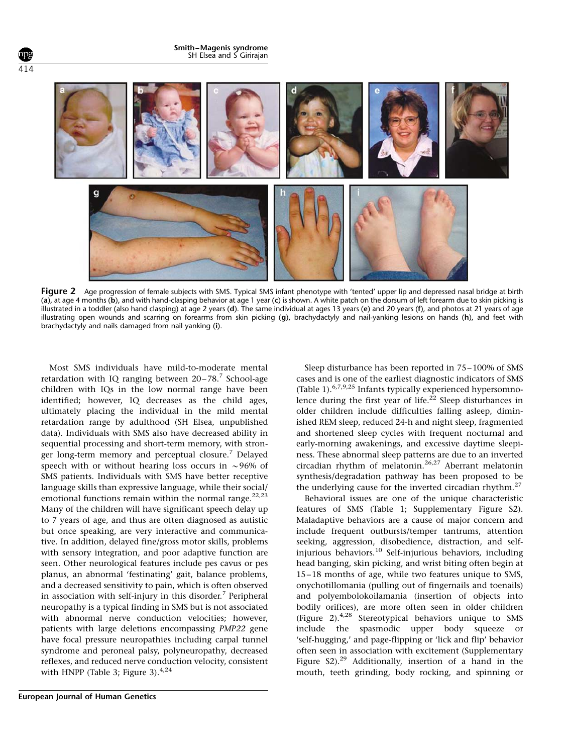<span id="page-2-0"></span>

Figure 2 Age progression of female subjects with SMS. Typical SMS infant phenotype with 'tented' upper lip and depressed nasal bridge at birth (a), at age 4 months (b), and with hand-clasping behavior at age 1 year (c) is shown. A white patch on the dorsum of left forearm due to skin picking is illustrated in a toddler (also hand clasping) at age 2 years (d). The same individual at ages 13 years (e) and 20 years (f), and photos at 21 years of age illustrating open wounds and scarring on forearms from skin picking (g), brachydactyly and nail-yanking lesions on hands (h), and feet with brachydactyly and nails damaged from nail yanking (i).

Most SMS individuals have mild-to-moderate mental retardation with IQ ranging between  $20-78$ .<sup>7</sup> School-age children with IQs in the low normal range have been identified; however, IQ decreases as the child ages, ultimately placing the individual in the mild mental retardation range by adulthood (SH Elsea, unpublished data). Individuals with SMS also have decreased ability in sequential processing and short-term memory, with stronger long-term memory and perceptual closure.<sup>7</sup> Delayed speech with or without hearing loss occurs in  $\sim$ 96% of SMS patients. Individuals with SMS have better receptive language skills than expressive language, while their social/ emotional functions remain within the normal range.<sup>22,23</sup> Many of the children will have significant speech delay up to 7 years of age, and thus are often diagnosed as autistic but once speaking, are very interactive and communicative. In addition, delayed fine/gross motor skills, problems with sensory integration, and poor adaptive function are seen. Other neurological features include pes cavus or pes planus, an abnormal 'festinating' gait, balance problems, and a decreased sensitivity to pain, which is often observed in association with self-injury in this disorder.<sup>7</sup> Peripheral neuropathy is a typical finding in SMS but is not associated with abnormal nerve conduction velocities; however, patients with large deletions encompassing PMP22 gene have focal pressure neuropathies including carpal tunnel syndrome and peroneal palsy, polyneuropathy, decreased reflexes, and reduced nerve conduction velocity, consistent with HNPP ([Table 3](#page-3-0); [Figure 3](#page-4-0)). $4,24$ 

Sleep disturbance has been reported in 75–100% of SMS cases and is one of the earliest diagnostic indicators of SMS [\(Table 1](#page-1-0)).6,7,9,25 Infants typically experienced hypersomnolence during the first year of life.<sup>22</sup> Sleep disturbances in older children include difficulties falling asleep, diminished REM sleep, reduced 24-h and night sleep, fragmented and shortened sleep cycles with frequent nocturnal and early-morning awakenings, and excessive daytime sleepiness. These abnormal sleep patterns are due to an inverted circadian rhythm of melatonin.<sup>26,27</sup> Aberrant melatonin synthesis/degradation pathway has been proposed to be the underlying cause for the inverted circadian rhythm.<sup>27</sup> Behavioral issues are one of the unique characteristic

features of SMS [\(Table 1](#page-1-0); Supplementary Figure S2). Maladaptive behaviors are a cause of major concern and include frequent outbursts/temper tantrums, attention seeking, aggression, disobedience, distraction, and selfinjurious behaviors.<sup>10</sup> Self-injurious behaviors, including head banging, skin picking, and wrist biting often begin at 15–18 months of age, while two features unique to SMS, onychotillomania (pulling out of fingernails and toenails) and polyembolokoilamania (insertion of objects into bodily orifices), are more often seen in older children (Figure 2). $4,28$  Stereotypical behaviors unique to SMS include the spasmodic upper body squeeze or 'self-hugging,' and page-flipping or 'lick and flip' behavior often seen in association with excitement (Supplementary Figure  $S(2)$ <sup>29</sup> Additionally, insertion of a hand in the mouth, teeth grinding, body rocking, and spinning or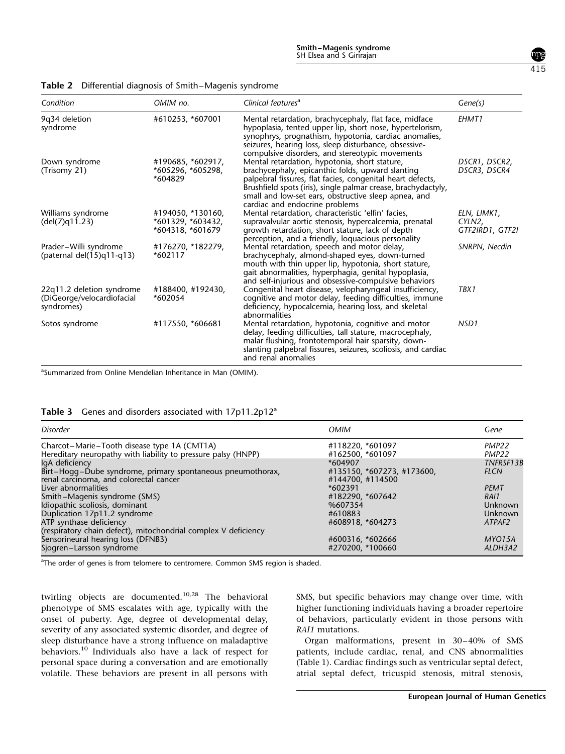| Condition                                                             | OMIM no.                                                   | Clinical features <sup>a</sup>                                                                                                                                                                                                                                                                                             | Gene(s)                                  |
|-----------------------------------------------------------------------|------------------------------------------------------------|----------------------------------------------------------------------------------------------------------------------------------------------------------------------------------------------------------------------------------------------------------------------------------------------------------------------------|------------------------------------------|
| 9q34 deletion<br>syndrome                                             | #610253, *607001                                           | Mental retardation, brachycephaly, flat face, midface<br>hypoplasia, tented upper lip, short nose, hypertelorism,<br>synophrys, prognathism, hypotonia, cardiac anomalies,<br>seizures, hearing loss, sleep disturbance, obsessive-<br>compulsive disorders, and stereotypic movements                                     | EHMT1                                    |
| Down syndrome<br>(Trisomy 21)                                         | #190685, *602917,<br>*605296, *605298,<br>*604829          | Mental retardation, hypotonia, short stature,<br>brachycephaly, epicanthic folds, upward slanting<br>palpebral fissures, flat facies, congenital heart defects,<br>Brushfield spots (iris), single palmar crease, brachydactyly,<br>small and low-set ears, obstructive sleep apnea, and<br>cardiac and endocrine problems | DSCR1, DSCR2,<br>DSCR3, DSCR4            |
| Williams syndrome<br>(del(7)q11.23)                                   | #194050, *130160,<br>*601329, *603432,<br>*604318, *601679 | Mental retardation, characteristic 'elfin' facies,<br>supravalvular aortic stenosis, hypercalcemia, prenatal<br>growth retardation, short stature, lack of depth<br>perception, and a friendly, loquacious personality                                                                                                     | ELN, LIMK1,<br>CYLN2,<br>GTF2IRD1, GTF2I |
| Prader-Willi syndrome<br>(paternal del $(15)q11-q13$ )                | #176270, *182279,<br>*602117                               | Mental retardation, speech and motor delay,<br>brachycephaly, almond-shaped eyes, down-turned<br>mouth with thin upper lip, hypotonia, short stature,<br>gait abnormalities, hyperphagia, genital hypoplasia,<br>and self-injurious and obsessive-compulsive behaviors                                                     | SNRPN, Necdin                            |
| 22q11.2 deletion syndrome<br>(DiGeorge/velocardiofacial<br>syndromes) | #188400, #192430,<br>*602054                               | Congenital heart disease, velopharyngeal insufficiency,<br>cognitive and motor delay, feeding difficulties, immune<br>deficiency, hypocalcemia, hearing loss, and skeletal<br>abnormalities                                                                                                                                | TBX1                                     |
| Sotos syndrome                                                        | #117550, *606681                                           | Mental retardation, hypotonia, cognitive and motor<br>delay, feeding difficulties, tall stature, macrocephaly,<br>malar flushing, frontotemporal hair sparsity, down-<br>slanting palpebral fissures, seizures, scoliosis, and cardiac<br>and renal anomalies                                                              | NSD1                                     |

<span id="page-3-0"></span>Table 2 Differential diagnosis of Smith–Magenis syndrome

<sup>a</sup>Summarized from Online Mendelian Inheritance in Man (OMIM).

| Disorder                                                       | <b>OMIM</b>                | Gene              |
|----------------------------------------------------------------|----------------------------|-------------------|
| Charcot-Marie-Tooth disease type 1A (CMT1A)                    | #118220, *601097           | PMP <sub>22</sub> |
| Hereditary neuropathy with liability to pressure palsy (HNPP)  | #162500, *601097           | PMP <sub>22</sub> |
| IgA deficiency                                                 | *604907                    | TNFRSF13B         |
| Birt-Hogg-Dube syndrome, primary spontaneous pneumothorax,     | #135150, *607273, #173600, | <b>FLCN</b>       |
| renal carcinoma, and colorectal cancer                         | #144700, #114500           |                   |
| Liver abnormalities                                            | *602391                    | PEMT              |
| Smith-Magenis syndrome (SMS)                                   | #182290, *607642           | RAI1              |
| Idiopathic scoliosis, dominant                                 | %607354                    | Unknown           |
| Duplication 17p11.2 syndrome                                   | #610883                    | Unknown           |
| ATP synthase deficiency                                        | #608918, *604273           | ATPAF2            |
| (respiratory chain defect), mitochondrial complex V deficiency |                            |                   |
| Sensorineural hearing loss (DFNB3)                             | #600316, *602666           | MYO15A            |
| Sjogren-Larsson syndrome                                       | #270200, *100660           | ALDH3A2           |

<sup>a</sup>The order of genes is from telomere to centromere. Common SMS region is shaded.

twirling objects are documented.<sup>10,28</sup> The behavioral phenotype of SMS escalates with age, typically with the onset of puberty. Age, degree of developmental delay, severity of any associated systemic disorder, and degree of sleep disturbance have a strong influence on maladaptive behaviors.<sup>10</sup> Individuals also have a lack of respect for personal space during a conversation and are emotionally volatile. These behaviors are present in all persons with SMS, but specific behaviors may change over time, with higher functioning individuals having a broader repertoire of behaviors, particularly evident in those persons with RAI1 mutations.

Organ malformations, present in 30–40% of SMS patients, include cardiac, renal, and CNS abnormalities [\(Table 1\)](#page-1-0). Cardiac findings such as ventricular septal defect, atrial septal defect, tricuspid stenosis, mitral stenosis,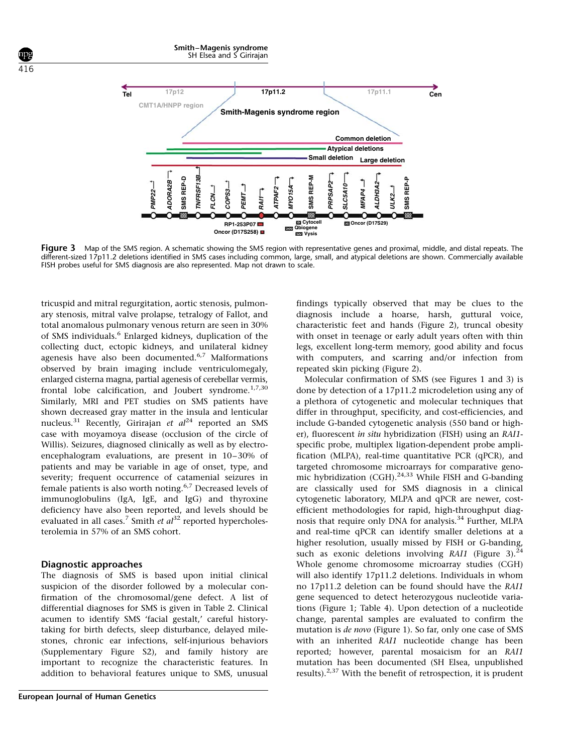<span id="page-4-0"></span>

Figure 3 Map of the SMS region. A schematic showing the SMS region with representative genes and proximal, middle, and distal repeats. The different-sized 17p11.2 deletions identified in SMS cases including common, large, small, and atypical deletions are shown. Commercially available FISH probes useful for SMS diagnosis are also represented. Map not drawn to scale.

tricuspid and mitral regurgitation, aortic stenosis, pulmonary stenosis, mitral valve prolapse, tetralogy of Fallot, and total anomalous pulmonary venous return are seen in 30% of SMS individuals.<sup>6</sup> Enlarged kidneys, duplication of the collecting duct, ectopic kidneys, and unilateral kidney agenesis have also been documented.<sup>6,7</sup> Malformations observed by brain imaging include ventriculomegaly, enlarged cisterna magna, partial agenesis of cerebellar vermis, frontal lobe calcification, and Joubert syndrome. $1,7,30$ Similarly, MRI and PET studies on SMS patients have shown decreased gray matter in the insula and lenticular nucleus.<sup>31</sup> Recently, Girirajan et  $al^{24}$  reported an SMS case with moyamoya disease (occlusion of the circle of Willis). Seizures, diagnosed clinically as well as by electroencephalogram evaluations, are present in 10–30% of patients and may be variable in age of onset, type, and severity: frequent occurrence of catamenial seizures in female patients is also worth noting.<sup>6,7</sup> Decreased levels of immunoglobulins (IgA, IgE, and IgG) and thyroxine deficiency have also been reported, and levels should be evaluated in all cases.<sup>7</sup> Smith et  $al^{32}$  reported hypercholesterolemia in 57% of an SMS cohort.

#### Diagnostic approaches

The diagnosis of SMS is based upon initial clinical suspicion of the disorder followed by a molecular confirmation of the chromosomal/gene defect. A list of differential diagnoses for SMS is given in [Table 2.](#page-3-0) Clinical acumen to identify SMS 'facial gestalt,' careful historytaking for birth defects, sleep disturbance, delayed milestones, chronic ear infections, self-injurious behaviors (Supplementary Figure S2), and family history are important to recognize the characteristic features. In addition to behavioral features unique to SMS, unusual findings typically observed that may be clues to the diagnosis include a hoarse, harsh, guttural voice, characteristic feet and hands [\(Figure 2](#page-2-0)), truncal obesity with onset in teenage or early adult years often with thin legs, excellent long-term memory, good ability and focus with computers, and scarring and/or infection from repeated skin picking ([Figure 2\)](#page-2-0).

Molecular confirmation of SMS (see [Figures 1 and 3\)](#page-1-0) is done by detection of a 17p11.2 microdeletion using any of a plethora of cytogenetic and molecular techniques that differ in throughput, specificity, and cost-efficiencies, and include G-banded cytogenetic analysis (550 band or higher), fluorescent in situ hybridization (FISH) using an RAI1 specific probe, multiplex ligation-dependent probe amplification (MLPA), real-time quantitative PCR (qPCR), and targeted chromosome microarrays for comparative genomic hybridization (CGH).<sup>24,33</sup> While FISH and G-banding are classically used for SMS diagnosis in a clinical cytogenetic laboratory, MLPA and qPCR are newer, costefficient methodologies for rapid, high-throughput diagnosis that require only DNA for analysis.<sup>34</sup> Further, MLPA and real-time qPCR can identify smaller deletions at a higher resolution, usually missed by FISH or G-banding, such as exonic deletions involving RAI1 (Figure 3). $^{24}$ Whole genome chromosome microarray studies (CGH) will also identify 17p11.2 deletions. Individuals in whom no 17p11.2 deletion can be found should have the RAI1 gene sequenced to detect heterozygous nucleotide variations ([Figure 1](#page-1-0); [Table 4\)](#page-5-0). Upon detection of a nucleotide change, parental samples are evaluated to confirm the mutation is de novo ([Figure 1](#page-1-0)). So far, only one case of SMS with an inherited RAI1 nucleotide change has been reported; however, parental mosaicism for an RAI1 mutation has been documented (SH Elsea, unpublished results).2,37 With the benefit of retrospection, it is prudent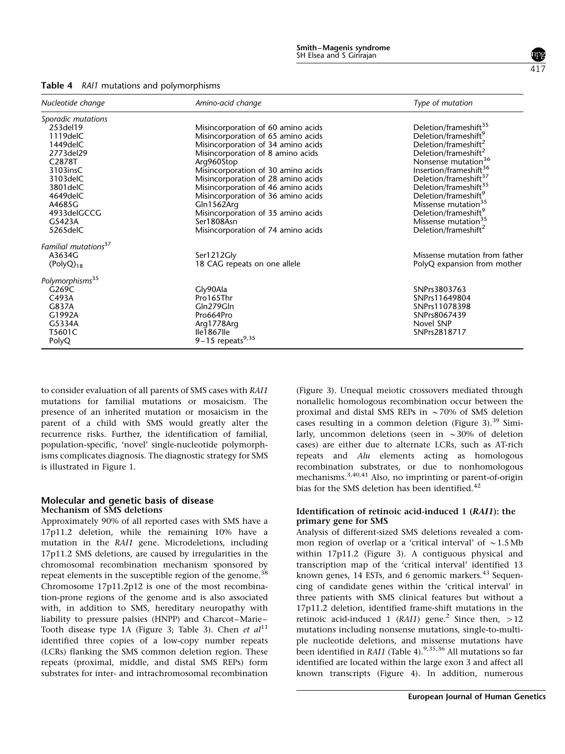<span id="page-5-0"></span>

|  |  |  |  | Table 4 RAI1 mutations and polymorphisms |
|--|--|--|--|------------------------------------------|
|--|--|--|--|------------------------------------------|

| Nucleotide change                | Amino-acid change                  | Type of mutation                   |
|----------------------------------|------------------------------------|------------------------------------|
| Sporadic mutations               |                                    |                                    |
| 253del19                         | Misincorporation of 60 amino acids | Deletion/frameshift <sup>35</sup>  |
| 1119delC                         | Misincorporation of 65 amino acids | Deletion/frameshift <sup>9</sup>   |
| 1449 del C                       | Misincorporation of 34 amino acids | Deletion/frameshift <sup>2</sup>   |
| 2773del29                        | Misincorporation of 8 amino acids  | Deletion/frameshift <sup>2</sup>   |
| C2878T                           | Arg960Stop                         | Nonsense mutation <sup>36</sup>    |
| 3103insC                         | Misincorporation of 30 amino acids | Insertion/frameshift <sup>36</sup> |
| 3103delC                         | Misincorporation of 28 amino acids | Deletion/frameshift <sup>37</sup>  |
| 3801 del C                       | Misincorporation of 46 amino acids | Deletion/frameshift <sup>35</sup>  |
| 4649delC                         | Misincorporation of 36 amino acids | Deletion/frameshift <sup>9</sup>   |
| A4685G                           | Gln1562Arg                         | Missense mutation <sup>35</sup>    |
| 4933delGCCG                      | Misincorporation of 35 amino acids | Deletion/frameshift <sup>9</sup>   |
| G5423A                           | Ser1808Asn                         | Missense mutation <sup>35</sup>    |
| 5265delC                         | Misincorporation of 74 amino acids | Deletion/frameshift <sup>2</sup>   |
| Familial mutations <sup>37</sup> |                                    |                                    |
| A3634G                           | Ser1212Gly                         | Missense mutation from father      |
| $(PolyQ)_{18}$                   | 18 CAG repeats on one allele       | PolyQ expansion from mother        |
| Polymorphisms <sup>35</sup>      |                                    |                                    |
| G269C                            | Gly90Ala                           | SNPrs3803763                       |
| C493A                            | Pro165Thr                          | SNPrs11649804                      |
| G837A                            | Gln279Gln                          | SNPrs11078398                      |
| G1992A                           | Pro664Pro                          | SNPrs8067439                       |
| G5334A                           | Arg1778Arg                         | Novel SNP                          |
| T5601C                           | Ile1867lle                         | SNPrs2818717                       |
| PolyQ                            | $9-15$ repeats <sup>9,35</sup>     |                                    |

to consider evaluation of all parents of SMS cases with RAI1 mutations for familial mutations or mosaicism. The presence of an inherited mutation or mosaicism in the parent of a child with SMS would greatly alter the recurrence risks. Further, the identification of familial, population-specific, 'novel' single-nucleotide polymorphisms complicates diagnosis. The diagnostic strategy for SMS is illustrated in [Figure 1.](#page-1-0)

# Molecular and genetic basis of disease Mechanism of SMS deletions

Approximately 90% of all reported cases with SMS have a 17p11.2 deletion, while the remaining 10% have a mutation in the RAI1 gene. Microdeletions, including 17p11.2 SMS deletions, are caused by irregularities in the chromosomal recombination mechanism sponsored by repeat elements in the susceptible region of the genome.<sup>38</sup> Chromosome 17p11.2p12 is one of the most recombination-prone regions of the genome and is also associated with, in addition to SMS, hereditary neuropathy with liability to pressure palsies (HNPP) and Charcot–Marie– Tooth disease type 1A [\(Figure 3;](#page-4-0) [Table 3](#page-3-0)). Chen et  $al<sup>11</sup>$ identified three copies of a low-copy number repeats (LCRs) flanking the SMS common deletion region. These repeats (proximal, middle, and distal SMS REPs) form substrates for inter- and intrachromosomal recombination

[\(Figure 3](#page-4-0)). Unequal meiotic crossovers mediated through nonallelic homologous recombination occur between the proximal and distal SMS REPs in  $\sim$  70% of SMS deletion cases resulting in a common deletion [\(Figure 3](#page-4-0)).<sup>39</sup> Similarly, uncommon deletions (seen in  $\sim$ 30% of deletion cases) are either due to alternate LCRs, such as AT-rich repeats and Alu elements acting as homologous recombination substrates, or due to nonhomologous mechanisms.3,40,41 Also, no imprinting or parent-of-origin bias for the SMS deletion has been identified.<sup>42</sup>

#### Identification of retinoic acid-induced 1 (RAI1): the primary gene for SMS

Analysis of different-sized SMS deletions revealed a common region of overlap or a 'critical interval' of  $\sim$  1.5 Mb within 17p11.2 ([Figure 3\)](#page-4-0). A contiguous physical and transcription map of the 'critical interval' identified 13 known genes,  $14$  ESTs, and 6 genomic markers.<sup>43</sup> Sequencing of candidate genes within the 'critical interval' in three patients with SMS clinical features but without a 17p11.2 deletion, identified frame-shift mutations in the retinoic acid-induced 1 ( $RAII$ ) gene.<sup>2</sup> Since then, >12 mutations including nonsense mutations, single-to-multiple nucleotide deletions, and missense mutations have been identified in  $RAI1$  (Table 4).<sup>9,35,36</sup> All mutations so far identified are located within the large exon 3 and affect all known transcripts ([Figure 4\)](#page-6-0). In addition, numerous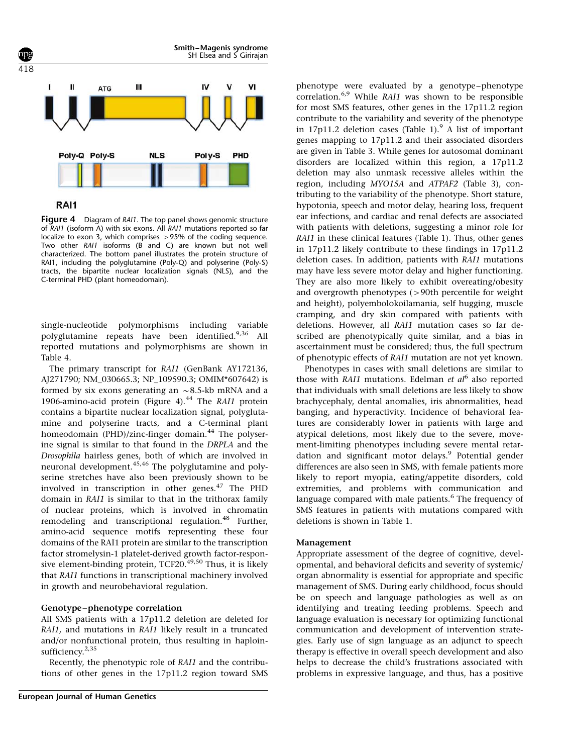<span id="page-6-0"></span>

Figure 4 Diagram of RAI1. The top panel shows genomic structure of RAI1 (isoform A) with six exons. All RAI1 mutations reported so far localize to exon 3, which comprises  $>95%$  of the coding sequence. Two other RAI1 isoforms (B and C) are known but not well characterized. The bottom panel illustrates the protein structure of RAI1, including the polyglutamine (Poly-Q) and polyserine (Poly-S) tracts, the bipartite nuclear localization signals (NLS), and the C-terminal PHD (plant homeodomain).

single-nucleotide polymorphisms including variable polyglutamine repeats have been identified.<sup>9,36</sup> All reported mutations and polymorphisms are shown in [Table 4.](#page-5-0)

The primary transcript for RAI1 (GenBank AY172136, AJ271790; NM\_030665.3; NP\_109590.3; OMIM\*607642) is formed by six exons generating an  $\sim$ 8.5-kb mRNA and a 1906-amino-acid protein (Figure 4).<sup>44</sup> The RAI1 protein contains a bipartite nuclear localization signal, polyglutamine and polyserine tracts, and a C-terminal plant homeodomain (PHD)/zinc-finger domain.<sup>44</sup> The polyserine signal is similar to that found in the DRPLA and the Drosophila hairless genes, both of which are involved in neuronal development.45,46 The polyglutamine and polyserine stretches have also been previously shown to be involved in transcription in other genes. $47$  The PHD domain in RAI1 is similar to that in the trithorax family of nuclear proteins, which is involved in chromatin remodeling and transcriptional regulation.<sup>48</sup> Further, amino-acid sequence motifs representing these four domains of the RAI1 protein are similar to the transcription factor stromelysin-1 platelet-derived growth factor-responsive element-binding protein, TCF20.<sup>49,50</sup> Thus, it is likely that RAI1 functions in transcriptional machinery involved in growth and neurobehavioral regulation.

# Genotype–phenotype correlation

All SMS patients with a 17p11.2 deletion are deleted for RAI1, and mutations in RAI1 likely result in a truncated and/or nonfunctional protein, thus resulting in haploinsufficiency.<sup>2,35</sup>

Recently, the phenotypic role of RAI1 and the contributions of other genes in the 17p11.2 region toward SMS phenotype were evaluated by a genotype–phenotype correlation.6,9 While RAI1 was shown to be responsible for most SMS features, other genes in the 17p11.2 region contribute to the variability and severity of the phenotype in 17p11.2 deletion cases ([Table 1\)](#page-1-0).<sup>9</sup> A list of important genes mapping to 17p11.2 and their associated disorders are given in [Table 3.](#page-3-0) While genes for autosomal dominant disorders are localized within this region, a 17p11.2 deletion may also unmask recessive alleles within the region, including MYO15A and ATPAF2 [\(Table 3\)](#page-3-0), contributing to the variability of the phenotype. Short stature, hypotonia, speech and motor delay, hearing loss, frequent ear infections, and cardiac and renal defects are associated with patients with deletions, suggesting a minor role for RAI1 in these clinical features [\(Table 1\)](#page-1-0). Thus, other genes in 17p11.2 likely contribute to these findings in 17p11.2 deletion cases. In addition, patients with RAI1 mutations may have less severe motor delay and higher functioning. They are also more likely to exhibit overeating/obesity and overgrowth phenotypes  $(>90th$  percentile for weight and height), polyembolokoilamania, self hugging, muscle cramping, and dry skin compared with patients with deletions. However, all RAI1 mutation cases so far described are phenotypically quite similar, and a bias in ascertainment must be considered; thus, the full spectrum of phenotypic effects of RAI1 mutation are not yet known.

Phenotypes in cases with small deletions are similar to those with RAI1 mutations. Edelman *et al*<sup>6</sup> also reported that individuals with small deletions are less likely to show brachycephaly, dental anomalies, iris abnormalities, head banging, and hyperactivity. Incidence of behavioral features are considerably lower in patients with large and atypical deletions, most likely due to the severe, movement-limiting phenotypes including severe mental retardation and significant motor delays.<sup>9</sup> Potential gender differences are also seen in SMS, with female patients more likely to report myopia, eating/appetite disorders, cold extremities, and problems with communication and language compared with male patients.<sup>6</sup> The frequency of SMS features in patients with mutations compared with deletions is shown in [Table 1](#page-1-0).

#### Management

Appropriate assessment of the degree of cognitive, developmental, and behavioral deficits and severity of systemic/ organ abnormality is essential for appropriate and specific management of SMS. During early childhood, focus should be on speech and language pathologies as well as on identifying and treating feeding problems. Speech and language evaluation is necessary for optimizing functional communication and development of intervention strategies. Early use of sign language as an adjunct to speech therapy is effective in overall speech development and also helps to decrease the child's frustrations associated with problems in expressive language, and thus, has a positive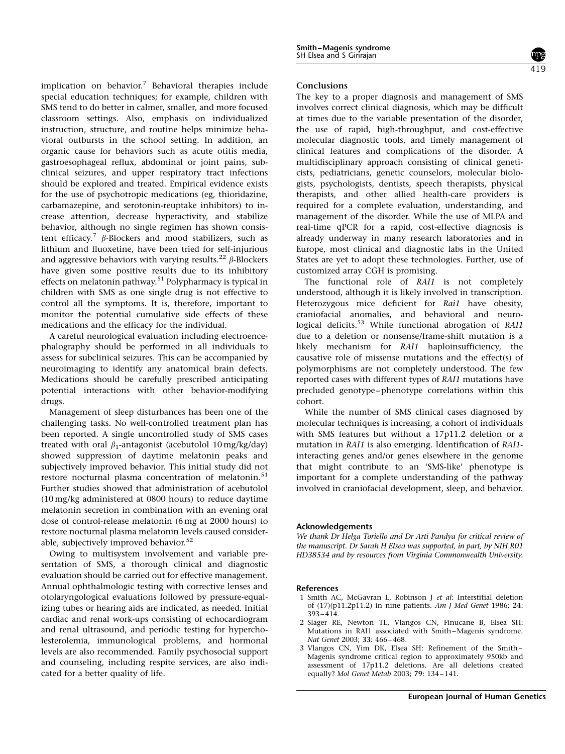implication on behavior.7 Behavioral therapies include special education techniques; for example, children with SMS tend to do better in calmer, smaller, and more focused classroom settings. Also, emphasis on individualized instruction, structure, and routine helps minimize behavioral outbursts in the school setting. In addition, an organic cause for behaviors such as acute otitis media, gastroesophageal reflux, abdominal or joint pains, subclinical seizures, and upper respiratory tract infections should be explored and treated. Empirical evidence exists for the use of psychotropic medications (eg, thioridazine, carbamazepine, and serotonin-reuptake inhibitors) to increase attention, decrease hyperactivity, and stabilize behavior, although no single regimen has shown consistent efficacy.<sup>7</sup>  $\beta$ -Blockers and mood stabilizers, such as lithium and fluoxetine, have been tried for self-injurious and aggressive behaviors with varying results.<sup>22</sup>  $\beta$ -Blockers have given some positive results due to its inhibitory effects on melatonin pathway.<sup>51</sup> Polypharmacy is typical in children with SMS as one single drug is not effective to control all the symptoms. It is, therefore, important to monitor the potential cumulative side effects of these medications and the efficacy for the individual.

A careful neurological evaluation including electroencephalography should be performed in all individuals to assess for subclinical seizures. This can be accompanied by neuroimaging to identify any anatomical brain defects. Medications should be carefully prescribed anticipating potential interactions with other behavior-modifying drugs.

Management of sleep disturbances has been one of the challenging tasks. No well-controlled treatment plan has been reported. A single uncontrolled study of SMS cases treated with oral  $\beta_1$ -antagonist (acebutolol 10 mg/kg/day) showed suppression of daytime melatonin peaks and subjectively improved behavior. This initial study did not restore nocturnal plasma concentration of melatonin.<sup>51</sup> Further studies showed that administration of acebutolol (10 mg/kg administered at 0800 hours) to reduce daytime melatonin secretion in combination with an evening oral dose of control-release melatonin (6 mg at 2000 hours) to restore nocturnal plasma melatonin levels caused considerable, subjectively improved behavior.<sup>52</sup>

Owing to multisystem involvement and variable presentation of SMS, a thorough clinical and diagnostic evaluation should be carried out for effective management. Annual ophthalmologic testing with corrective lenses and otolaryngological evaluations followed by pressure-equalizing tubes or hearing aids are indicated, as needed. Initial cardiac and renal work-ups consisting of echocardiogram and renal ultrasound, and periodic testing for hypercholesterolemia, immunological problems, and hormonal levels are also recommended. Family psychosocial support and counseling, including respite services, are also indicated for a better quality of life.

#### Conclusions

The key to a proper diagnosis and management of SMS involves correct clinical diagnosis, which may be difficult at times due to the variable presentation of the disorder, the use of rapid, high-throughput, and cost-effective molecular diagnostic tools, and timely management of clinical features and complications of the disorder. A multidisciplinary approach consisting of clinical geneticists, pediatricians, genetic counselors, molecular biologists, psychologists, dentists, speech therapists, physical therapists, and other allied health-care providers is required for a complete evaluation, understanding, and management of the disorder. While the use of MLPA and real-time qPCR for a rapid, cost-effective diagnosis is already underway in many research laboratories and in Europe, most clinical and diagnostic labs in the United States are yet to adopt these technologies. Further, use of customized array CGH is promising.

The functional role of RAI1 is not completely understood, although it is likely involved in transcription. Heterozygous mice deficient for Rai1 have obesity, craniofacial anomalies, and behavioral and neurological deficits.<sup>53</sup> While functional abrogation of RAI1 due to a deletion or nonsense/frame-shift mutation is a likely mechanism for RAI1 haploinsufficiency, the causative role of missense mutations and the effect(s) of polymorphisms are not completely understood. The few reported cases with different types of RAI1 mutations have precluded genotype–phenotype correlations within this cohort.

While the number of SMS clinical cases diagnosed by molecular techniques is increasing, a cohort of individuals with SMS features but without a 17p11.2 deletion or a mutation in RAI1 is also emerging. Identification of RAI1 interacting genes and/or genes elsewhere in the genome that might contribute to an 'SMS-like' phenotype is important for a complete understanding of the pathway involved in craniofacial development, sleep, and behavior.

#### Acknowledgements

We thank Dr Helga Toriello and Dr Arti Pandya for critical review of the manuscript. Dr Sarah H Elsea was supported, in part, by NIH R01 HD38534 and by resources from Virginia Commonwealth University.

#### References

- 1 Smith AC, McGavran L, Robinson J et al: Interstitial deletion of (17)(p11.2p11.2) in nine patients. Am J Med Genet 1986; 24: 393–414.
- 2 Slager RE, Newton TL, Vlangos CN, Finucane B, Elsea SH: Mutations in RAI1 associated with Smith–Magenis syndrome. Nat Genet 2003; 33: 466–468.
- 3 Vlangos CN, Yim DK, Elsea SH: Refinement of the Smith– Magenis syndrome critical region to approximately 950kb and assessment of 17p11.2 deletions. Are all deletions created equally? Mol Genet Metab 2003; 79: 134–141.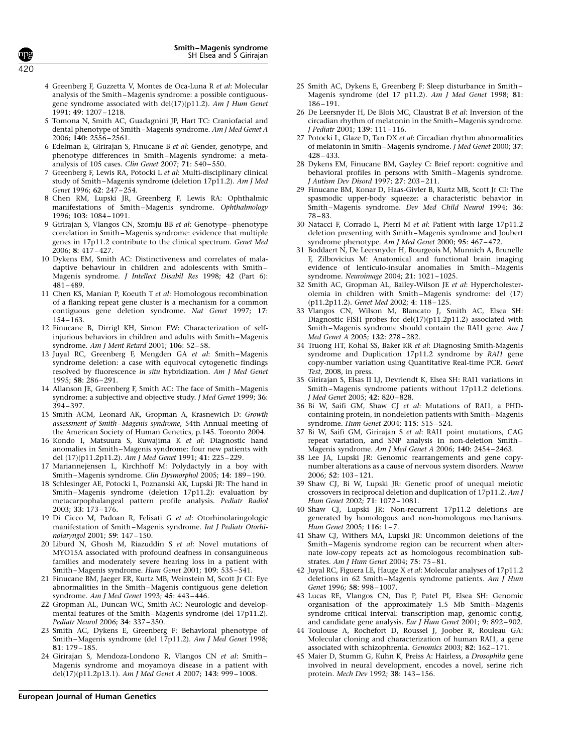- 4 Greenberg F, Guzzetta V, Montes de Oca-Luna R et al: Molecular analysis of the Smith–Magenis syndrome: a possible contiguousgene syndrome associated with del(17)(p11.2). Am J Hum Genet 1991; 49: 1207–1218.
- 5 Tomona N, Smith AC, Guadagnini JP, Hart TC: Craniofacial and dental phenotype of Smith–Magenis syndrome. Am J Med Genet A 2006; 140: 2556–2561.
- 6 Edelman E, Girirajan S, Finucane B et al: Gender, genotype, and phenotype differences in Smith–Magenis syndrome: a metaanalysis of 105 cases. Clin Genet 2007; 71: 540–550.
- 7 Greenberg F, Lewis RA, Potocki L et al: Multi-disciplinary clinical study of Smith–Magenis syndrome (deletion 17p11.2). Am J Med Genet 1996; 62: 247–254.
- 8 Chen RM, Lupski JR, Greenberg F, Lewis RA: Ophthalmic manifestations of Smith–Magenis syndrome. Ophthalmology 1996; 103: 1084–1091.
- 9 Girirajan S, Vlangos CN, Szomju BB et al: Genotype–phenotype correlation in Smith–Magenis syndrome: evidence that multiple genes in 17p11.2 contribute to the clinical spectrum. Genet Med 2006; 8: 417–427.
- 10 Dykens EM, Smith AC: Distinctiveness and correlates of maladaptive behaviour in children and adolescents with Smith– Magenis syndrome. J Intellect Disabil Res 1998; 42 (Part 6): 481–489.
- 11 Chen KS, Manian P, Koeuth T et al: Homologous recombination of a flanking repeat gene cluster is a mechanism for a common contiguous gene deletion syndrome. Nat Genet 1997; 17: 154–163.
- 12 Finucane B, Dirrigl KH, Simon EW: Characterization of selfinjurious behaviors in children and adults with Smith–Magenis syndrome. Am J Ment Retard 2001; 106: 52–58.
- 13 Juyal RC, Greenberg F, Mengden GA et al: Smith–Magenis syndrome deletion: a case with equivocal cytogenetic findings resolved by fluorescence in situ hybridization. Am J Med Genet 1995; 58: 286–291.
- 14 Allanson JE, Greenberg F, Smith AC: The face of Smith–Magenis syndrome: a subjective and objective study. J Med Genet 1999; 36: 394–397.
- 15 Smith ACM, Leonard AK, Gropman A, Krasnewich D: Growth assessment of Smith–Magenis syndrome, 54th Annual meeting of the American Society of Human Genetics, p.145. Toronto 2004.
- 16 Kondo I, Matsuura S, Kuwajima K et al: Diagnostic hand anomalies in Smith–Magenis syndrome: four new patients with del (17)(p11.2p11.2). Am J Med Genet 1991; 41: 225–229.
- 17 Mariannejensen L, Kirchhoff M: Polydactyly in a boy with Smith–Magenis syndrome. Clin Dysmorphol 2005; 14: 189–190.
- 18 Schlesinger AE, Potocki L, Poznanski AK, Lupski JR: The hand in Smith–Magenis syndrome (deletion 17p11.2): evaluation by metacarpophalangeal pattern profile analysis. Pediatr Radiol 2003; 33: 173–176.
- 19 Di Cicco M, Padoan R, Felisati G et al: Otorhinolaringologic manifestation of Smith–Magenis syndrome. Int J Pediatr Otorhinolaryngol 2001; 59: 147–150.
- 20 Liburd N, Ghosh M, Riazuddin S et al: Novel mutations of MYO15A associated with profound deafness in consanguineous families and moderately severe hearing loss in a patient with Smith–Magenis syndrome. Hum Genet 2001; 109: 535–541.
- 21 Finucane BM, Jaeger ER, Kurtz MB, Weinstein M, Scott Jr CI: Eye abnormalities in the Smith–Magenis contiguous gene deletion syndrome. Am J Med Genet 1993; 45: 443–446.
- 22 Gropman AL, Duncan WC, Smith AC: Neurologic and developmental features of the Smith–Magenis syndrome (del 17p11.2). Pediatr Neurol 2006; 34: 337–350.
- 23 Smith AC, Dykens E, Greenberg F: Behavioral phenotype of Smith–Magenis syndrome (del 17p11.2). Am J Med Genet 1998; 81: 179–185.
- 24 Girirajan S, Mendoza-Londono R, Vlangos CN et al: Smith– Magenis syndrome and moyamoya disease in a patient with del(17)(p11.2p13.1). Am J Med Genet A 2007; 143: 999–1008.
- European Journal of Human Genetics
- 25 Smith AC, Dykens E, Greenberg F: Sleep disturbance in Smith– Magenis syndrome (del 17 p11.2). Am J Med Genet 1998; 81: 186–191.
- 26 De Leersnyder H, De Blois MC, Claustrat B et al: Inversion of the circadian rhythm of melatonin in the Smith–Magenis syndrome. J Pediatr 2001; 139: 111–116.
- 27 Potocki L, Glaze D, Tan DX et al: Circadian rhythm abnormalities of melatonin in Smith–Magenis syndrome. J Med Genet 2000; 37: 428–433.
- 28 Dykens EM, Finucane BM, Gayley C: Brief report: cognitive and behavioral profiles in persons with Smith–Magenis syndrome. J Autism Dev Disord 1997; 27: 203–211.
- 29 Finucane BM, Konar D, Haas-Givler B, Kurtz MB, Scott Jr CI: The spasmodic upper-body squeeze: a characteristic behavior in Smith–Magenis syndrome. Dev Med Child Neurol 1994; 36: 78–83.
- 30 Natacci F, Corrado L, Pierri M et al: Patient with large 17p11.2 deletion presenting with Smith–Magenis syndrome and Joubert syndrome phenotype. Am J Med Genet 2000; 95: 467–472.
- 31 Boddaert N, De Leersnyder H, Bourgeois M, Munnich A, Brunelle F, Zilbovicius M: Anatomical and functional brain imaging evidence of lenticulo-insular anomalies in Smith–Magenis syndrome. Neuroimage 2004; 21: 1021–1025.
- 32 Smith AC, Gropman AL, Bailey-Wilson JE et al: Hypercholesterolemia in children with Smith–Magenis syndrome: del (17) (p11.2p11.2). Genet Med 2002; 4: 118–125.
- 33 Vlangos CN, Wilson M, Blancato J, Smith AC, Elsea SH: Diagnostic FISH probes for del(17)(p11.2p11.2) associated with Smith–Magenis syndrome should contain the RAI1 gene. Am J Med Genet A 2005; 132: 278–282.
- 34 Truong HT, Kohal SS, Baker KR et al: Diagnosing Smith-Magenis syndrome and Duplication 17p11.2 syndrome by RAI1 gene copy-number variation using Quantitative Real-time PCR. Genet Test, 2008, in press.
- 35 Girirajan S, Elsas II LJ, Devriendt K, Elsea SH: RAI1 variations in Smith–Magenis syndrome patients without 17p11.2 deletions. J Med Genet 2005; 42: 820–828.
- 36 Bi W, Saifi GM, Shaw CJ et al: Mutations of RAI1, a PHDcontaining protein, in nondeletion patients with Smith–Magenis syndrome. Hum Genet 2004; 115: 515–524.
- 37 Bi W, Saifi GM, Girirajan S et al: RAI1 point mutations, CAG repeat variation, and SNP analysis in non-deletion Smith– Magenis syndrome. Am J Med Genet A 2006; 140: 2454–2463.
- 38 Lee JA, Lupski JR: Genomic rearrangements and gene copynumber alterations as a cause of nervous system disorders. Neuron 2006; 52: 103–121.
- 39 Shaw CJ, Bi W, Lupski JR: Genetic proof of unequal meiotic crossovers in reciprocal deletion and duplication of 17p11.2. Am J Hum Genet 2002; 71: 1072–1081.
- 40 Shaw CJ, Lupski JR: Non-recurrent 17p11.2 deletions are generated by homologous and non-homologous mechanisms. Hum Genet 2005; 116: 1–7.
- 41 Shaw CJ, Withers MA, Lupski JR: Uncommon deletions of the Smith–Magenis syndrome region can be recurrent when alternate low-copy repeats act as homologous recombination substrates. Am J Hum Genet 2004; 75: 75–81.
- 42 Juyal RC, Figuera LE, Hauge X et al: Molecular analyses of 17p11.2 deletions in 62 Smith–Magenis syndrome patients. Am J Hum Genet 1996; 58: 998-1007.
- 43 Lucas RE, Vlangos CN, Das P, Patel PI, Elsea SH: Genomic organisation of the approximately 1.5 Mb Smith–Magenis syndrome critical interval: transcription map, genomic contig, and candidate gene analysis. Eur J Hum Genet 2001; 9: 892–902.
- 44 Toulouse A, Rochefort D, Roussel J, Joober R, Rouleau GA: Molecular cloning and characterization of human RAI1, a gene associated with schizophrenia. Genomics 2003; 82: 162–171.
- 45 Maier D, Stumm G, Kuhn K, Preiss A: Hairless, a Drosophila gene involved in neural development, encodes a novel, serine rich protein. Mech Dev 1992; 38: 143–156.